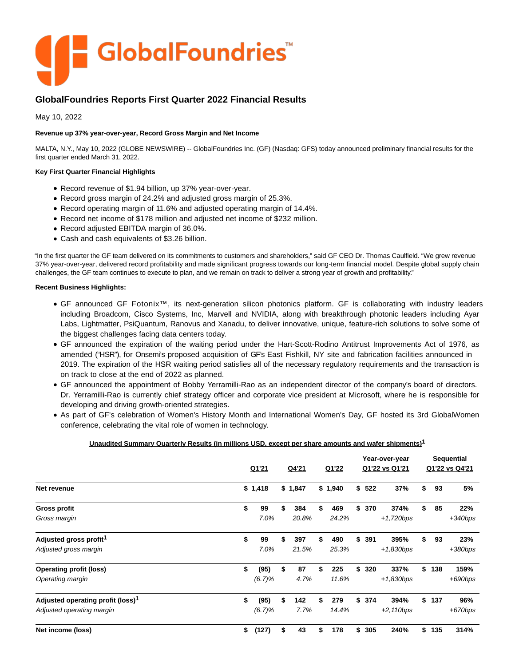

# **GlobalFoundries Reports First Quarter 2022 Financial Results**

May 10, 2022

#### **Revenue up 37% year-over-year, Record Gross Margin and Net Income**

MALTA, N.Y., May 10, 2022 (GLOBE NEWSWIRE) -- GlobalFoundries Inc. (GF) (Nasdaq: GFS) today announced preliminary financial results for the first quarter ended March 31, 2022.

#### **Key First Quarter Financial Highlights**

- Record revenue of \$1.94 billion, up 37% year-over-year.
- Record gross margin of 24.2% and adjusted gross margin of 25.3%.
- Record operating margin of 11.6% and adjusted operating margin of 14.4%.
- Record net income of \$178 million and adjusted net income of \$232 million.
- Record adjusted EBITDA margin of 36.0%.
- Cash and cash equivalents of \$3.26 billion.

"In the first quarter the GF team delivered on its commitments to customers and shareholders," said GF CEO Dr. Thomas Caulfield. "We grew revenue 37% year-over-year, delivered record profitability and made significant progress towards our long-term financial model. Despite global supply chain challenges, the GF team continues to execute to plan, and we remain on track to deliver a strong year of growth and profitability."

## **Recent Business Highlights:**

- GF announced GF Fotonix™, its next-generation silicon photonics platform. GF is collaborating with industry leaders including Broadcom, Cisco Systems, Inc, Marvell and NVIDIA, along with breakthrough photonic leaders including Ayar Labs, Lightmatter, PsiQuantum, Ranovus and Xanadu, to deliver innovative, unique, feature-rich solutions to solve some of the biggest challenges facing data centers today.
- GF announced the expiration of the waiting period under the Hart-Scott-Rodino Antitrust Improvements Act of 1976, as amended ("HSR"), for Onsemi's proposed acquisition of GF's East Fishkill, NY site and fabrication facilities announced in 2019. The expiration of the HSR waiting period satisfies all of the necessary regulatory requirements and the transaction is on track to close at the end of 2022 as planned.
- GF announced the appointment of Bobby Yerramilli-Rao as an independent director of the company's board of directors. Dr. Yerramilli-Rao is currently chief strategy officer and corporate vice president at Microsoft, where he is responsible for developing and driving growth-oriented strategies.
- As part of GF's celebration of Women's History Month and International Women's Day, GF hosted its 3rd GlobalWomen conference, celebrating the vital role of women in technology.

#### **Unaudited Summary Quarterly Results (in millions USD, except per share amounts and wafer shipments)1**

|                                               | Q1'21       | Q4'21     | Q1'22     |           | Year-over-year<br>Q1'22 vs Q1'21 |           | <b>Sequential</b><br>Q1'22 vs Q4'21 |
|-----------------------------------------------|-------------|-----------|-----------|-----------|----------------------------------|-----------|-------------------------------------|
| Net revenue                                   | \$1,418     | \$1,847   | \$1,940   | \$<br>522 | 37%                              | \$<br>93  | 5%                                  |
| Gross profit                                  | \$<br>99    | \$<br>384 | \$<br>469 | \$<br>370 | 374%                             | \$<br>85  | 22%                                 |
| Gross margin                                  | 7.0%        | 20.8%     | 24.2%     |           | $+1,720bps$                      |           | $+340bps$                           |
| Adjusted gross profit <sup>1</sup>            | \$<br>99    | \$<br>397 | \$<br>490 | \$<br>391 | 395%                             | \$<br>93  | 23%                                 |
| Adjusted gross margin                         | 7.0%        | 21.5%     | 25.3%     |           | $+1,830bps$                      |           | $+380bps$                           |
| <b>Operating profit (loss)</b>                | \$<br>(95)  | \$<br>87  | \$<br>225 | \$<br>320 | 337%                             | \$<br>138 | 159%                                |
| Operating margin                              | (6.7)%      | 4.7%      | 11.6%     |           | $+1,830bps$                      |           | $+690bps$                           |
| Adjusted operating profit (loss) <sup>1</sup> | \$<br>(95)  | \$<br>142 | \$<br>279 | \$<br>374 | 394%                             | \$<br>137 | 96%                                 |
| Adjusted operating margin                     | (6.7)%      | 7.7%      | 14.4%     |           | $+2,110bps$                      |           | $+670bps$                           |
| Net income (loss)                             | \$<br>(127) | \$<br>43  | \$<br>178 | \$<br>305 | 240%                             | \$<br>135 | 314%                                |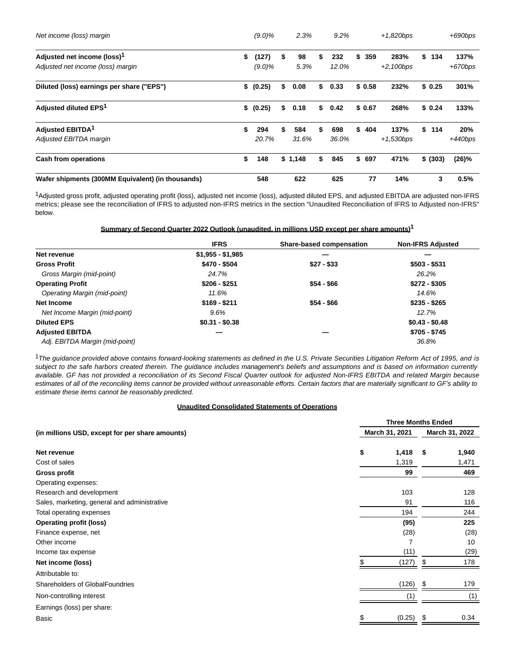| Net income (loss) margin                                                     | $(9.0)\%$                | 2.3%               | 9.2%               |           | $+1,820bps$          |          | $+690bps$         |
|------------------------------------------------------------------------------|--------------------------|--------------------|--------------------|-----------|----------------------|----------|-------------------|
| Adjusted net income (loss) <sup>1</sup><br>Adjusted net income (loss) margin | \$<br>(127)<br>$(9.0)\%$ | \$<br>98<br>5.3%   | \$<br>232<br>12.0% | \$<br>359 | 283%<br>$+2,100bps$  | \$134    | 137%<br>$+670bps$ |
| Diluted (loss) earnings per share ("EPS")                                    | \$<br>(0.25)             | \$<br>0.08         | \$<br>0.33         | \$0.58    | 232%                 | \$0.25   | 301%              |
| Adjusted diluted EPS <sup>1</sup>                                            | \$ (0.25)                | \$<br>0.18         | \$<br>0.42         | \$0.67    | 268%                 | \$0.24   | 133%              |
| Adjusted EBITDA <sup>1</sup><br>Adjusted EBITDA margin                       | \$<br>294<br>20.7%       | \$<br>584<br>31.6% | \$<br>698<br>36.0% | \$404     | 137%<br>$+1,530$ bps | \$114    | 20%<br>$+440bps$  |
| Cash from operations                                                         | \$<br>148                | \$1,148            | \$<br>845          | \$697     | 471%                 | \$ (303) | (26)%             |
| Wafer shipments (300MM Equivalent) (in thousands)                            | 548                      | 622                | 625                | 77        | 14%                  | 3        | 0.5%              |

1Adjusted gross profit, adjusted operating profit (loss), adjusted net income (loss), adjusted diluted EPS, and adjusted EBITDA are adjusted non-IFRS metrics; please see the reconciliation of IFRS to adjusted non-IFRS metrics in the section "Unaudited Reconciliation of IFRS to Adjusted non-IFRS" below.

| Summary of Second Quarter 2022 Outlook (unaudited, in millions USD except per share amounts) <sup>1</sup> |  |  |
|-----------------------------------------------------------------------------------------------------------|--|--|
|                                                                                                           |  |  |

|                                     | <b>IFRS</b>       | Share-based compensation | <b>Non-IFRS Adjusted</b> |
|-------------------------------------|-------------------|--------------------------|--------------------------|
| Net revenue                         | $$1,955 - $1,985$ |                          |                          |
| <b>Gross Profit</b>                 | \$470 - \$504     | $$27 - $33$              | $$503 - $531$            |
| Gross Margin (mid-point)            | 24.7%             |                          | 26.2%                    |
| <b>Operating Profit</b>             | $$206 - $251$     | $$54 - $66$              | $$272 - $305$            |
| <b>Operating Margin (mid-point)</b> | 11.6%             |                          | 14.6%                    |
| Net Income                          | $$169 - $211$     | $$54 - $66$              | $$235 - $265$            |
| Net Income Margin (mid-point)       | 9.6%              |                          | 12.7%                    |
| <b>Diluted EPS</b>                  | $$0.31 - $0.38$   |                          | $$0.43 - $0.48$          |
| <b>Adjusted EBITDA</b>              |                   |                          | $$705 - $745$            |
| Adj. EBITDA Margin (mid-point)      |                   |                          | 36.8%                    |

 $1$ The guidance provided above contains forward-looking statements as defined in the U.S. Private Securities Litigation Reform Act of 1995, and is subject to the safe harbors created therein. The quidance includes management's beliefs and assumptions and is based on information currently available. GF has not provided a reconciliation of its Second Fiscal Quarter outlook for adjusted Non-IFRS EBITDA and related Margin because estimates of all of the reconciling items cannot be provided without unreasonable efforts. Certain factors that are materially significant to GF's ability to estimate these items cannot be reasonably predicted.

### **Unaudited Consolidated Statements of Operations**

|                                                 | <b>Three Months Ended</b> |                |    |                |  |  |  |
|-------------------------------------------------|---------------------------|----------------|----|----------------|--|--|--|
| (in millions USD, except for per share amounts) |                           | March 31, 2021 |    | March 31, 2022 |  |  |  |
| Net revenue                                     | \$                        | 1,418          | \$ | 1,940          |  |  |  |
| Cost of sales                                   |                           | 1,319          |    | 1,471          |  |  |  |
| <b>Gross profit</b>                             |                           | 99             |    | 469            |  |  |  |
| Operating expenses:                             |                           |                |    |                |  |  |  |
| Research and development                        |                           | 103            |    | 128            |  |  |  |
| Sales, marketing, general and administrative    |                           | 91             |    | 116            |  |  |  |
| Total operating expenses                        |                           | 194            |    | 244            |  |  |  |
| <b>Operating profit (loss)</b>                  |                           | (95)           |    | 225            |  |  |  |
| Finance expense, net                            |                           | (28)           |    | (28)           |  |  |  |
| Other income                                    |                           |                |    | 10             |  |  |  |
| Income tax expense                              |                           | (11)           |    | (29)           |  |  |  |
| Net income (loss)                               |                           | (127)          | S  | 178            |  |  |  |
| Attributable to:                                |                           |                |    |                |  |  |  |
| Shareholders of GlobalFoundries                 |                           | (126)          |    | 179            |  |  |  |
| Non-controlling interest                        |                           | (1)            |    | (1)            |  |  |  |
| Earnings (loss) per share:                      |                           |                |    |                |  |  |  |
| Basic                                           |                           | (0.25)         | \$ | 0.34           |  |  |  |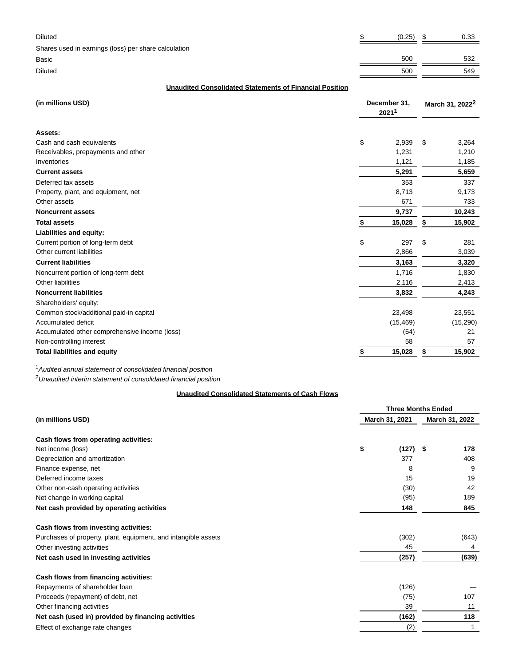| Diluted                                              | (0.25) | 0.33 |
|------------------------------------------------------|--------|------|
| Shares used in earnings (loss) per share calculation |        |      |
| Basic                                                | 500    | 532  |
| <b>Diluted</b>                                       | 500    | 549  |
|                                                      |        |      |

## **Unaudited Consolidated Statements of Financial Position**

| (in millions USD)<br>December 31,<br>2021 <sup>1</sup> |    |           | March 31, 2022 <sup>2</sup> |           |
|--------------------------------------------------------|----|-----------|-----------------------------|-----------|
| Assets:                                                |    |           |                             |           |
| Cash and cash equivalents                              | \$ | 2,939     | \$                          | 3,264     |
| Receivables, prepayments and other                     |    | 1,231     |                             | 1,210     |
| Inventories                                            |    | 1,121     |                             | 1,185     |
| <b>Current assets</b>                                  |    | 5,291     |                             | 5,659     |
| Deferred tax assets                                    |    | 353       |                             | 337       |
| Property, plant, and equipment, net                    |    | 8,713     |                             | 9,173     |
| Other assets                                           |    | 671       |                             | 733       |
| <b>Noncurrent assets</b>                               |    | 9,737     |                             | 10,243    |
| <b>Total assets</b>                                    | \$ | 15,028    | \$                          | 15,902    |
| Liabilities and equity:                                |    |           |                             |           |
| Current portion of long-term debt                      | \$ | 297       | \$                          | 281       |
| Other current liabilities                              |    | 2,866     |                             | 3,039     |
| <b>Current liabilities</b>                             |    | 3,163     |                             | 3,320     |
| Noncurrent portion of long-term debt                   |    | 1,716     |                             | 1,830     |
| Other liabilities                                      |    | 2,116     |                             | 2,413     |
| <b>Noncurrent liabilities</b>                          |    | 3,832     |                             | 4,243     |
| Shareholders' equity:                                  |    |           |                             |           |
| Common stock/additional paid-in capital                |    | 23,498    |                             | 23,551    |
| Accumulated deficit                                    |    | (15, 469) |                             | (15, 290) |
| Accumulated other comprehensive income (loss)          |    | (54)      |                             | 21        |
| Non-controlling interest                               |    | 58        |                             | 57        |
| <b>Total liabilities and equity</b>                    | \$ | 15,028    | \$                          | 15,902    |

 $1$ Audited annual statement of consolidated financial position

2Unaudited interim statement of consolidated financial position

## **Unaudited Consolidated Statements of Cash Flows**

|                                                                | <b>Three Months Ended</b> |            |  |                |  |  |  |
|----------------------------------------------------------------|---------------------------|------------|--|----------------|--|--|--|
| (in millions USD)                                              | March 31, 2021            |            |  | March 31, 2022 |  |  |  |
| Cash flows from operating activities:                          |                           |            |  |                |  |  |  |
| Net income (loss)                                              | \$                        | $(127)$ \$ |  | 178            |  |  |  |
| Depreciation and amortization                                  |                           | 377        |  | 408            |  |  |  |
| Finance expense, net                                           |                           | 8          |  | 9              |  |  |  |
| Deferred income taxes                                          |                           | 15         |  | 19             |  |  |  |
| Other non-cash operating activities                            |                           | (30)       |  | 42             |  |  |  |
| Net change in working capital                                  |                           | (95)       |  | 189            |  |  |  |
| Net cash provided by operating activities                      |                           | 148        |  | 845            |  |  |  |
| Cash flows from investing activities:                          |                           |            |  |                |  |  |  |
| Purchases of property, plant, equipment, and intangible assets |                           | (302)      |  | (643)          |  |  |  |
| Other investing activities                                     |                           | 45         |  | 4              |  |  |  |
| Net cash used in investing activities                          |                           | (257)      |  | (639)          |  |  |  |
| Cash flows from financing activities:                          |                           |            |  |                |  |  |  |
| Repayments of shareholder loan                                 |                           | (126)      |  |                |  |  |  |
| Proceeds (repayment) of debt, net                              |                           | (75)       |  | 107            |  |  |  |
| Other financing activities                                     |                           | 39         |  | 11             |  |  |  |
| Net cash (used in) provided by financing activities            |                           | (162)      |  | 118            |  |  |  |
| Effect of exchange rate changes                                |                           | (2)        |  |                |  |  |  |
|                                                                |                           |            |  |                |  |  |  |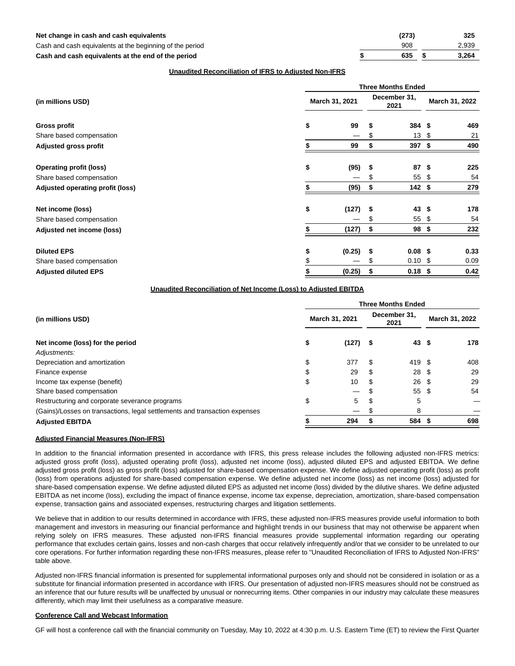| Net change in cash and cash equivalents                  | (273) | 325   |
|----------------------------------------------------------|-------|-------|
| Cash and cash equivalents at the beginning of the period | 908   | 2.939 |
| Cash and cash equivalents at the end of the period       | 635   | 3.264 |

#### **Unaudited Reconciliation of IFRS to Adjusted Non-IFRS**

|                                  | <b>Three Months Ended</b> |                |    |                      |      |                |  |  |  |
|----------------------------------|---------------------------|----------------|----|----------------------|------|----------------|--|--|--|
| (in millions USD)                |                           | March 31, 2021 |    | December 31,<br>2021 |      | March 31, 2022 |  |  |  |
| <b>Gross profit</b>              | \$                        | 99             |    | 384 \$               |      | 469            |  |  |  |
| Share based compensation         |                           |                | S  | 13 <sup>°</sup>      | \$   | 21             |  |  |  |
| <b>Adjusted gross profit</b>     |                           | 99             | S  | $397$ \$             |      | 490            |  |  |  |
| <b>Operating profit (loss)</b>   | \$                        | (95)           | \$ | 87                   | - \$ | 225            |  |  |  |
| Share based compensation         |                           |                | S  | 55                   | -\$  | 54             |  |  |  |
| Adjusted operating profit (loss) |                           | (95)           | \$ | 142S                 |      | 279            |  |  |  |
| Net income (loss)                | \$                        | (127)          | \$ | 43 \$                |      | 178            |  |  |  |
| Share based compensation         |                           |                |    | 55                   | \$   | 54             |  |  |  |
| Adjusted net income (loss)       |                           | (127)          | \$ | 98                   | \$   | 232            |  |  |  |
| <b>Diluted EPS</b>               | \$                        | (0.25)         | \$ | 0.08 <sup>5</sup>    |      | 0.33           |  |  |  |
| Share based compensation         |                           |                | S  | $0.10 \text{ }$ \$   |      | 0.09           |  |  |  |
| <b>Adjusted diluted EPS</b>      |                           | (0.25)         | \$ | $0.18$ \$            |      | 0.42           |  |  |  |

### **Unaudited Reconciliation of Net Income (Loss) to Adjusted EBITDA**

|                                                                            | <b>Three Months Ended</b> |       |     |                      |                |     |  |  |  |  |
|----------------------------------------------------------------------------|---------------------------|-------|-----|----------------------|----------------|-----|--|--|--|--|
| (in millions USD)                                                          | March 31, 2021            |       |     | December 31,<br>2021 | March 31, 2022 |     |  |  |  |  |
| Net income (loss) for the period                                           | \$                        | (127) | - 5 | 43S                  |                | 178 |  |  |  |  |
| Adjustments:                                                               |                           |       |     |                      |                |     |  |  |  |  |
| Depreciation and amortization                                              |                           | 377   | \$  | 419 \$               |                | 408 |  |  |  |  |
| Finance expense                                                            |                           | 29    | \$. | 28                   | - \$           | 29  |  |  |  |  |
| Income tax expense (benefit)                                               | \$                        | 10    | \$. | 26S                  |                | 29  |  |  |  |  |
| Share based compensation                                                   |                           | —     |     | 55 \$                |                | 54  |  |  |  |  |
| Restructuring and corporate severance programs                             | \$                        | 5     | \$  | 5                    |                |     |  |  |  |  |
| (Gains)/Losses on transactions, legal settlements and transaction expenses |                           |       |     | 8                    |                |     |  |  |  |  |
| <b>Adjusted EBITDA</b>                                                     |                           | 294   |     | 584 \$               |                | 698 |  |  |  |  |

#### **Adjusted Financial Measures (Non-IFRS)**

In addition to the financial information presented in accordance with IFRS, this press release includes the following adjusted non-IFRS metrics: adjusted gross profit (loss), adjusted operating profit (loss), adjusted net income (loss), adjusted diluted EPS and adjusted EBITDA. We define adjusted gross profit (loss) as gross profit (loss) adjusted for share-based compensation expense. We define adjusted operating profit (loss) as profit (loss) from operations adjusted for share-based compensation expense. We define adjusted net income (loss) as net income (loss) adjusted for share-based compensation expense. We define adjusted diluted EPS as adjusted net income (loss) divided by the dilutive shares. We define adjusted EBITDA as net income (loss), excluding the impact of finance expense, income tax expense, depreciation, amortization, share-based compensation expense, transaction gains and associated expenses, restructuring charges and litigation settlements.

We believe that in addition to our results determined in accordance with IFRS, these adjusted non-IFRS measures provide useful information to both management and investors in measuring our financial performance and highlight trends in our business that may not otherwise be apparent when relying solely on IFRS measures. These adjusted non-IFRS financial measures provide supplemental information regarding our operating performance that excludes certain gains, losses and non-cash charges that occur relatively infrequently and/or that we consider to be unrelated to our core operations. For further information regarding these non-IFRS measures, please refer to "Unaudited Reconciliation of IFRS to Adjusted Non-IFRS" table above.

Adjusted non-IFRS financial information is presented for supplemental informational purposes only and should not be considered in isolation or as a substitute for financial information presented in accordance with IFRS. Our presentation of adjusted non-IFRS measures should not be construed as an inference that our future results will be unaffected by unusual or nonrecurring items. Other companies in our industry may calculate these measures differently, which may limit their usefulness as a comparative measure.

#### **Conference Call and Webcast Information**

GF will host a conference call with the financial community on Tuesday, May 10, 2022 at 4:30 p.m. U.S. Eastern Time (ET) to review the First Quarter